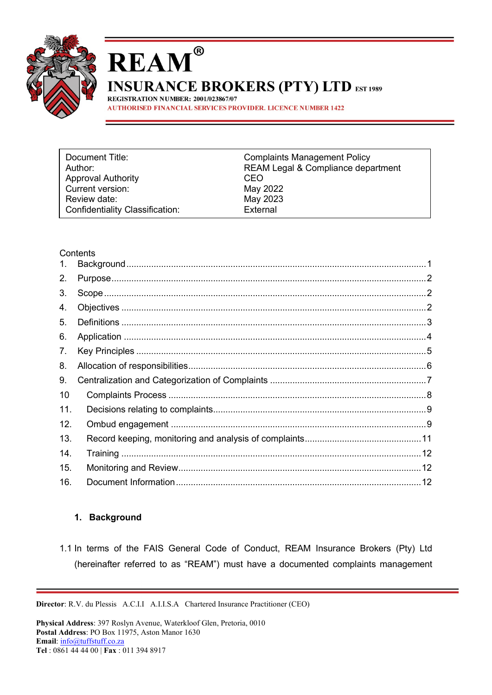

# **REAM INSURANCE BROKERS (PTY) LTD EST 1989**

REGISTRATION NUMBER: 2001/023867/07 **AUTHORISED FINANCIAL SERVICES PROVIDER. LICENCE NUMBER 1422** 

®

| Document Title:                        | <b>Complaints Management Policy</b> |
|----------------------------------------|-------------------------------------|
| Author:                                | REAM Legal & Compliance department  |
| <b>Approval Authority</b>              | CEO                                 |
| Current version:                       | May 2022                            |
| Review date:                           | May 2023                            |
| <b>Confidentiality Classification:</b> | External                            |

#### **Contents**

| 1.  |  |
|-----|--|
| 2.  |  |
| 3.  |  |
| 4.  |  |
| 5.  |  |
| 6.  |  |
| 7.  |  |
| 8.  |  |
| 9.  |  |
| 10  |  |
| 11. |  |
| 12. |  |
| 13. |  |
| 14. |  |
| 15. |  |
| 16. |  |
|     |  |

#### <span id="page-0-0"></span>**1. Background**

1.1 In terms of the FAIS General Code of Conduct, REAM Insurance Brokers (Pty) Ltd (hereinafter referred to as "REAM") must have a documented complaints management

**Director**: R.V. du Plessis A.C.I.I A.I.I.S.A Chartered Insurance Practitioner (CEO)

**Physical Address**: 397 Roslyn Avenue, Waterkloof Glen, Pretoria, 0010 **Postal Address**: PO Box 11975, Aston Manor 1630 **Email**: [info@tuffstuff.co.za](mailto:info@tuffstuff.co.za) **Tel** : 0861 44 44 00 | **Fax** : 011 394 8917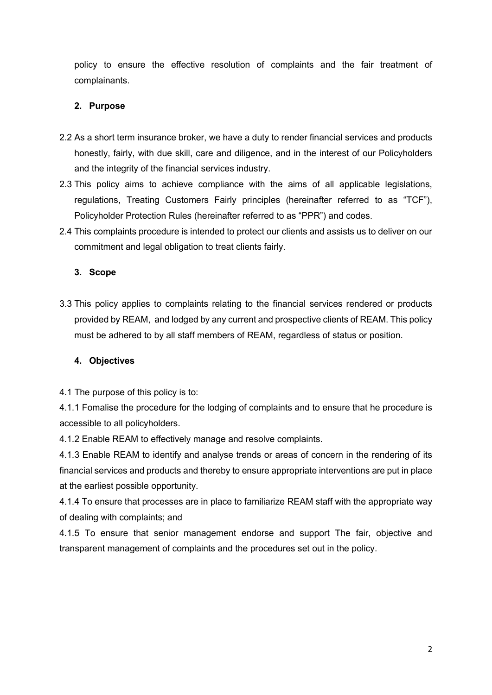policy to ensure the effective resolution of complaints and the fair treatment of complainants.

## <span id="page-1-0"></span>**2. Purpose**

- 2.2 As a short term insurance broker, we have a duty to render financial services and products honestly, fairly, with due skill, care and diligence, and in the interest of our Policyholders and the integrity of the financial services industry.
- 2.3 This policy aims to achieve compliance with the aims of all applicable legislations, regulations, Treating Customers Fairly principles (hereinafter referred to as "TCF"), Policyholder Protection Rules (hereinafter referred to as "PPR") and codes.
- 2.4 This complaints procedure is intended to protect our clients and assists us to deliver on our commitment and legal obligation to treat clients fairly.

#### <span id="page-1-1"></span>**3. Scope**

3.3 This policy applies to complaints relating to the financial services rendered or products provided by REAM, and lodged by any current and prospective clients of REAM. This policy must be adhered to by all staff members of REAM, regardless of status or position.

#### <span id="page-1-2"></span>**4. Objectives**

4.1 The purpose of this policy is to:

4.1.1 Fomalise the procedure for the lodging of complaints and to ensure that he procedure is accessible to all policyholders.

4.1.2 Enable REAM to effectively manage and resolve complaints.

4.1.3 Enable REAM to identify and analyse trends or areas of concern in the rendering of its financial services and products and thereby to ensure appropriate interventions are put in place at the earliest possible opportunity.

4.1.4 To ensure that processes are in place to familiarize REAM staff with the appropriate way of dealing with complaints; and

4.1.5 To ensure that senior management endorse and support The fair, objective and transparent management of complaints and the procedures set out in the policy.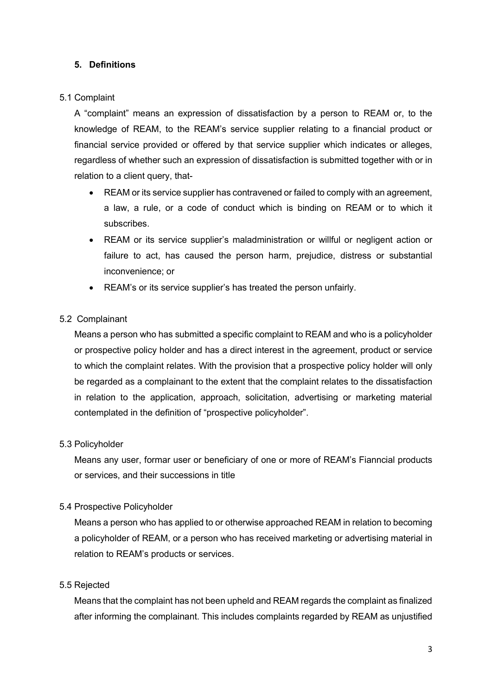#### <span id="page-2-0"></span>**5. Definitions**

#### 5.1 Complaint

A "complaint" means an expression of dissatisfaction by a person to REAM or, to the knowledge of REAM, to the REAM's service supplier relating to a financial product or financial service provided or offered by that service supplier which indicates or alleges, regardless of whether such an expression of dissatisfaction is submitted together with or in relation to a client query, that-

- REAM or its service supplier has contravened or failed to comply with an agreement, a law, a rule, or a code of conduct which is binding on REAM or to which it subscribes.
- REAM or its service supplier's maladministration or willful or negligent action or failure to act, has caused the person harm, prejudice, distress or substantial inconvenience; or
- REAM's or its service supplier's has treated the person unfairly.

## 5.2 Complainant

Means a person who has submitted a specific complaint to REAM and who is a policyholder or prospective policy holder and has a direct interest in the agreement, product or service to which the complaint relates. With the provision that a prospective policy holder will only be regarded as a complainant to the extent that the complaint relates to the dissatisfaction in relation to the application, approach, solicitation, advertising or marketing material contemplated in the definition of "prospective policyholder".

#### 5.3 Policyholder

Means any user, formar user or beneficiary of one or more of REAM's Fianncial products or services, and their successions in title

#### 5.4 Prospective Policyholder

Means a person who has applied to or otherwise approached REAM in relation to becoming a policyholder of REAM, or a person who has received marketing or advertising material in relation to REAM's products or services.

## 5.5 Rejected

Means that the complaint has not been upheld and REAM regards the complaint as finalized after informing the complainant. This includes complaints regarded by REAM as unjustified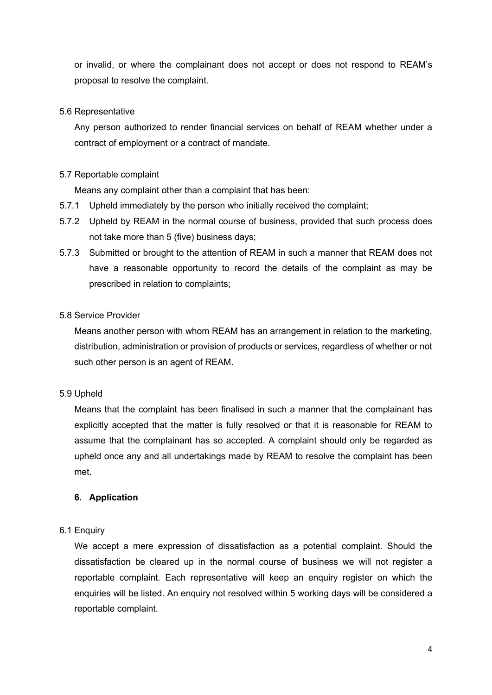or invalid, or where the complainant does not accept or does not respond to REAM's proposal to resolve the complaint.

#### 5.6 Representative

Any person authorized to render financial services on behalf of REAM whether under a contract of employment or a contract of mandate.

#### 5.7 Reportable complaint

Means any complaint other than a complaint that has been:

- 5.7.1 Upheld immediately by the person who initially received the complaint;
- 5.7.2 Upheld by REAM in the normal course of business, provided that such process does not take more than 5 (five) business days;
- 5.7.3 Submitted or brought to the attention of REAM in such a manner that REAM does not have a reasonable opportunity to record the details of the complaint as may be prescribed in relation to complaints;

#### 5.8 Service Provider

Means another person with whom REAM has an arrangement in relation to the marketing, distribution, administration or provision of products or services, regardless of whether or not such other person is an agent of REAM.

#### 5.9 Upheld

Means that the complaint has been finalised in such a manner that the complainant has explicitly accepted that the matter is fully resolved or that it is reasonable for REAM to assume that the complainant has so accepted. A complaint should only be regarded as upheld once any and all undertakings made by REAM to resolve the complaint has been met.

#### <span id="page-3-0"></span>**6. Application**

#### 6.1 Enquiry

We accept a mere expression of dissatisfaction as a potential complaint. Should the dissatisfaction be cleared up in the normal course of business we will not register a reportable complaint. Each representative will keep an enquiry register on which the enquiries will be listed. An enquiry not resolved within 5 working days will be considered a reportable complaint.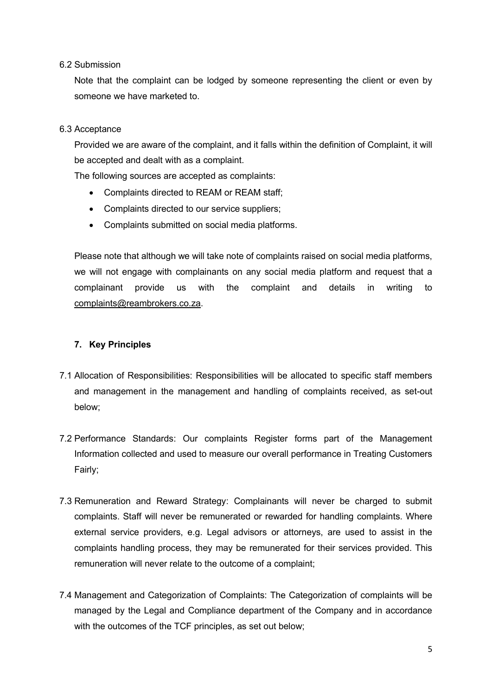#### 6.2 Submission

Note that the complaint can be lodged by someone representing the client or even by someone we have marketed to.

#### 6.3 Acceptance

Provided we are aware of the complaint, and it falls within the definition of Complaint, it will be accepted and dealt with as a complaint.

The following sources are accepted as complaints:

- Complaints directed to REAM or REAM staff;
- Complaints directed to our service suppliers;
- Complaints submitted on social media platforms.

Please note that although we will take note of complaints raised on social media platforms, we will not engage with complainants on any social media platform and request that a complainant provide us with the complaint and details in writing to [complaints@reambrokers.co.za.](mailto:complaints@reambrokers.co.za)

#### <span id="page-4-0"></span>**7. Key Principles**

- 7.1 Allocation of Responsibilities: Responsibilities will be allocated to specific staff members and management in the management and handling of complaints received, as set-out below;
- 7.2 Performance Standards: Our complaints Register forms part of the Management Information collected and used to measure our overall performance in Treating Customers Fairly;
- 7.3 Remuneration and Reward Strategy: Complainants will never be charged to submit complaints. Staff will never be remunerated or rewarded for handling complaints. Where external service providers, e.g. Legal advisors or attorneys, are used to assist in the complaints handling process, they may be remunerated for their services provided. This remuneration will never relate to the outcome of a complaint;
- 7.4 Management and Categorization of Complaints: The Categorization of complaints will be managed by the Legal and Compliance department of the Company and in accordance with the outcomes of the TCF principles, as set out below;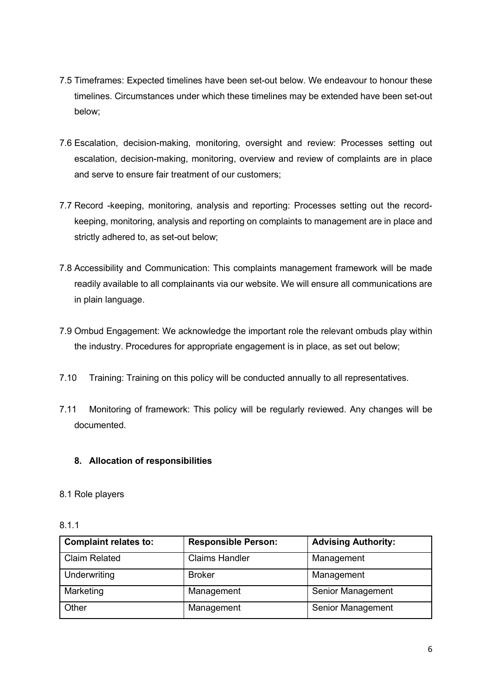- 7.5 Timeframes: Expected timelines have been set-out below. We endeavour to honour these timelines. Circumstances under which these timelines may be extended have been set-out below;
- 7.6 Escalation, decision-making, monitoring, oversight and review: Processes setting out escalation, decision-making, monitoring, overview and review of complaints are in place and serve to ensure fair treatment of our customers;
- 7.7 Record -keeping, monitoring, analysis and reporting: Processes setting out the recordkeeping, monitoring, analysis and reporting on complaints to management are in place and strictly adhered to, as set-out below;
- 7.8 Accessibility and Communication: This complaints management framework will be made readily available to all complainants via our website. We will ensure all communications are in plain language.
- 7.9 Ombud Engagement: We acknowledge the important role the relevant ombuds play within the industry. Procedures for appropriate engagement is in place, as set out below;
- 7.10 Training: Training on this policy will be conducted annually to all representatives.
- 7.11 Monitoring of framework: This policy will be regularly reviewed. Any changes will be documented.

## <span id="page-5-0"></span>**8. Allocation of responsibilities**

## 8.1 Role players

| <b>Complaint relates to:</b> | <b>Responsible Person:</b> | <b>Advising Authority:</b> |
|------------------------------|----------------------------|----------------------------|
| <b>Claim Related</b>         | <b>Claims Handler</b>      | Management                 |
| Underwriting                 | <b>Broker</b>              | Management                 |
| Marketing                    | Management                 | Senior Management          |
| Other                        | Management                 | Senior Management          |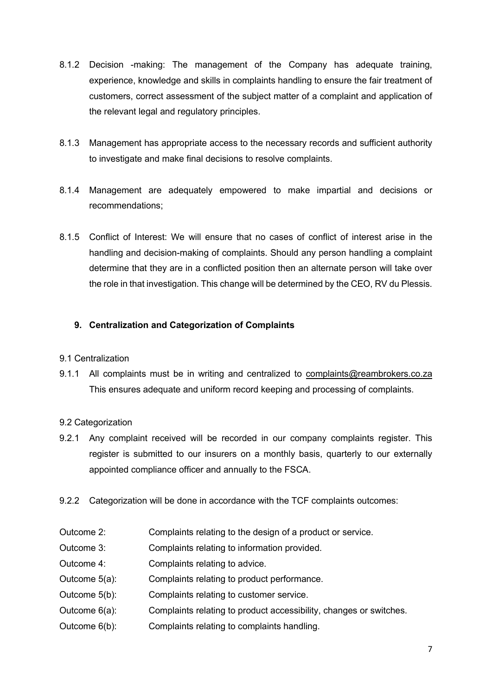- 8.1.2 Decision -making: The management of the Company has adequate training, experience, knowledge and skills in complaints handling to ensure the fair treatment of customers, correct assessment of the subject matter of a complaint and application of the relevant legal and regulatory principles.
- 8.1.3 Management has appropriate access to the necessary records and sufficient authority to investigate and make final decisions to resolve complaints.
- 8.1.4 Management are adequately empowered to make impartial and decisions or recommendations;
- 8.1.5 Conflict of Interest: We will ensure that no cases of conflict of interest arise in the handling and decision-making of complaints. Should any person handling a complaint determine that they are in a conflicted position then an alternate person will take over the role in that investigation. This change will be determined by the CEO, RV du Plessis.

## <span id="page-6-0"></span>**9. Centralization and Categorization of Complaints**

## 9.1 Centralization

9.1.1 All complaints must be in writing and centralized to [complaints@reambrokers.co.za](mailto:complaints@reambrokers.co.za) This ensures adequate and uniform record keeping and processing of complaints.

## 9.2 Categorization

- 9.2.1 Any complaint received will be recorded in our company complaints register. This register is submitted to our insurers on a monthly basis, quarterly to our externally appointed compliance officer and annually to the FSCA.
- 9.2.2 Categorization will be done in accordance with the TCF complaints outcomes:
- Outcome 2: Complaints relating to the design of a product or service.
- Outcome 3: Complaints relating to information provided.
- Outcome 4: Complaints relating to advice.
- Outcome 5(a): Complaints relating to product performance.
- Outcome 5(b): Complaints relating to customer service.
- Outcome 6(a): Complaints relating to product accessibility, changes or switches.
- Outcome 6(b): Complaints relating to complaints handling.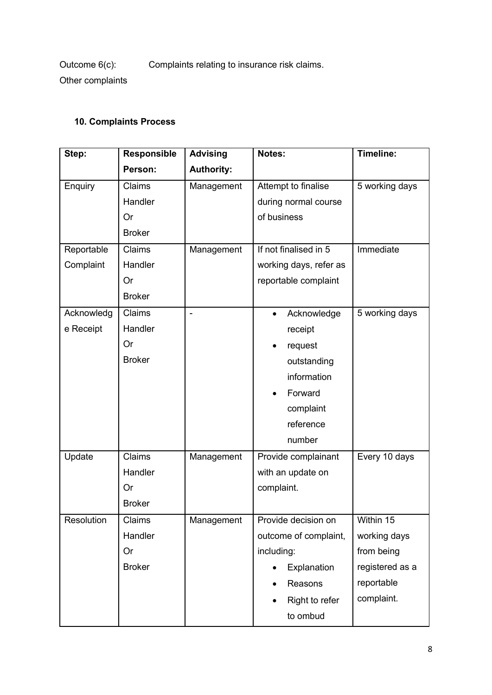Outcome 6(c): Complaints relating to insurance risk claims.

Other complaints

# <span id="page-7-0"></span>**10. Complaints Process**

| Step:      | <b>Responsible</b> | <b>Advising</b>   | Notes:                   | Timeline:       |
|------------|--------------------|-------------------|--------------------------|-----------------|
|            | Person:            | <b>Authority:</b> |                          |                 |
| Enquiry    | Claims             | Management        | Attempt to finalise      | 5 working days  |
|            | Handler            |                   | during normal course     |                 |
|            | Or                 |                   | of business              |                 |
|            | <b>Broker</b>      |                   |                          |                 |
| Reportable | Claims             | Management        | If not finalised in 5    | Immediate       |
| Complaint  | Handler            |                   | working days, refer as   |                 |
|            | Or                 |                   | reportable complaint     |                 |
|            | <b>Broker</b>      |                   |                          |                 |
| Acknowledg | Claims             |                   | Acknowledge<br>$\bullet$ | 5 working days  |
| e Receipt  | Handler            |                   | receipt                  |                 |
|            | Or                 |                   | request                  |                 |
|            | <b>Broker</b>      |                   | outstanding              |                 |
|            |                    |                   | information              |                 |
|            |                    |                   | Forward<br>$\bullet$     |                 |
|            |                    |                   | complaint                |                 |
|            |                    |                   | reference                |                 |
|            |                    |                   | number                   |                 |
| Update     | Claims             | Management        | Provide complainant      | Every 10 days   |
|            | Handler            |                   | with an update on        |                 |
|            | Or                 |                   | complaint.               |                 |
|            | <b>Broker</b>      |                   |                          |                 |
| Resolution | Claims             | Management        | Provide decision on      | Within 15       |
|            | Handler            |                   | outcome of complaint,    | working days    |
|            | Or                 |                   | including:               | from being      |
|            | <b>Broker</b>      |                   | Explanation              | registered as a |
|            |                    |                   | Reasons                  | reportable      |
|            |                    |                   | Right to refer           | complaint.      |
|            |                    |                   | to ombud                 |                 |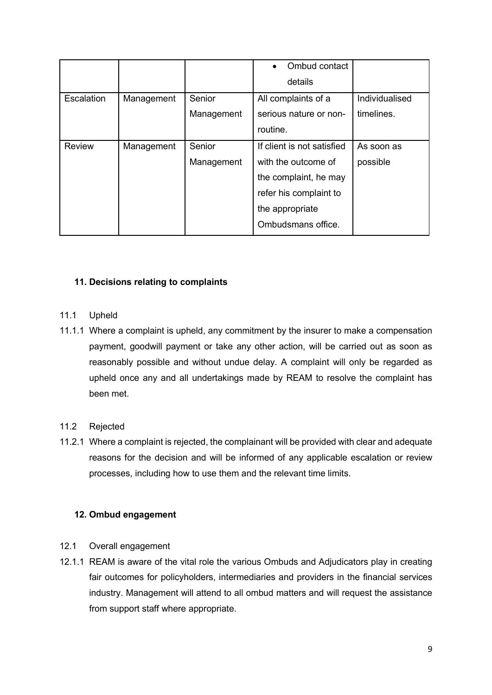|               |            |            | Ombud contact<br>$\bullet$ |                |
|---------------|------------|------------|----------------------------|----------------|
|               |            |            | details                    |                |
| Escalation    | Management | Senior     | All complaints of a        | Individualised |
|               |            | Management | serious nature or non-     | timelines.     |
|               |            |            | routine.                   |                |
| <b>Review</b> | Management | Senior     | If client is not satisfied | As soon as     |
|               |            | Management | with the outcome of        | possible       |
|               |            |            | the complaint, he may      |                |
|               |            |            | refer his complaint to     |                |
|               |            |            | the appropriate            |                |
|               |            |            | Ombudsmans office.         |                |

## <span id="page-8-0"></span>**11. Decisions relating to complaints**

#### 11.1 Upheld

11.1.1 Where a complaint is upheld, any commitment by the insurer to make a compensation payment, goodwill payment or take any other action, will be carried out as soon as reasonably possible and without undue delay. A complaint will only be regarded as upheld once any and all undertakings made by REAM to resolve the complaint has been met.

## 11.2 Rejected

11.2.1 Where a complaint is rejected, the complainant will be provided with clear and adequate reasons for the decision and will be informed of any applicable escalation or review processes, including how to use them and the relevant time limits.

## <span id="page-8-1"></span>**12. Ombud engagement**

- 12.1 Overall engagement
- 12.1.1 REAM is aware of the vital role the various Ombuds and Adjudicators play in creating fair outcomes for policyholders, intermediaries and providers in the financial services industry. Management will attend to all ombud matters and will request the assistance from support staff where appropriate.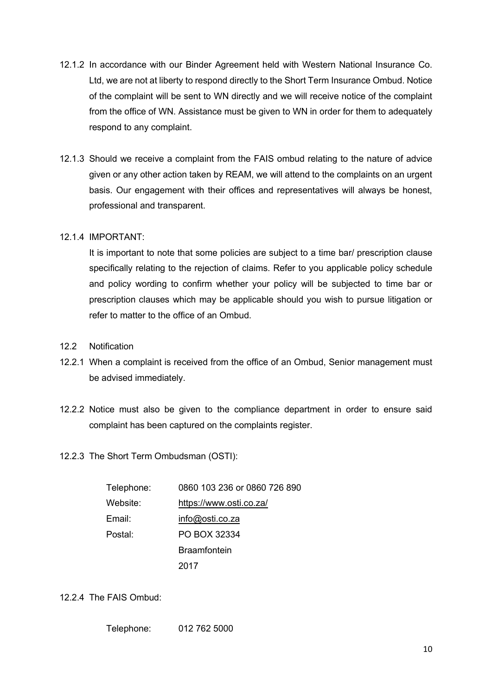- 12.1.2 In accordance with our Binder Agreement held with Western National Insurance Co. Ltd, we are not at liberty to respond directly to the Short Term Insurance Ombud. Notice of the complaint will be sent to WN directly and we will receive notice of the complaint from the office of WN. Assistance must be given to WN in order for them to adequately respond to any complaint.
- 12.1.3 Should we receive a complaint from the FAIS ombud relating to the nature of advice given or any other action taken by REAM, we will attend to the complaints on an urgent basis. Our engagement with their offices and representatives will always be honest, professional and transparent.

#### 12.1.4 IMPORTANT:

It is important to note that some policies are subject to a time bar/ prescription clause specifically relating to the rejection of claims. Refer to you applicable policy schedule and policy wording to confirm whether your policy will be subjected to time bar or prescription clauses which may be applicable should you wish to pursue litigation or refer to matter to the office of an Ombud.

- 12.2 Notification
- 12.2.1 When a complaint is received from the office of an Ombud, Senior management must be advised immediately.
- 12.2.2 Notice must also be given to the compliance department in order to ensure said complaint has been captured on the complaints register.
- 12.2.3 The Short Term Ombudsman (OSTI):

| Telephone: | 0860 103 236 or 0860 726 890 |
|------------|------------------------------|
| Website:   | https://www.osti.co.za/      |
| Email:     | info@osti.co.za              |
| Postal:    | PO BOX 32334                 |
|            | <b>Braamfontein</b>          |
|            | 2017                         |

12.2.4 The FAIS Ombud:

Telephone: 012 762 5000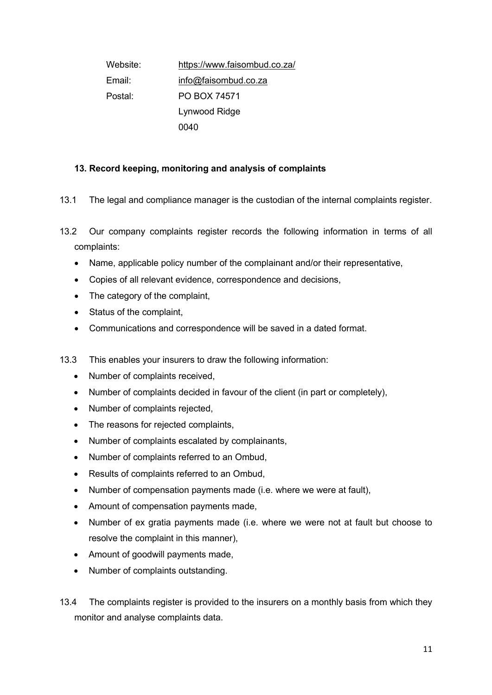Website: <https://www.faisombud.co.za/> Email: [info@faisombud.co.za](mailto:info@faisombud.co.za) Postal: PO BOX 74571 Lynwood Ridge 0040

## <span id="page-10-0"></span>**13. Record keeping, monitoring and analysis of complaints**

13.1 The legal and compliance manager is the custodian of the internal complaints register.

- 13.2 Our company complaints register records the following information in terms of all complaints:
	- Name, applicable policy number of the complainant and/or their representative,
	- Copies of all relevant evidence, correspondence and decisions,
	- The category of the complaint,
	- Status of the complaint,
	- Communications and correspondence will be saved in a dated format.
- 13.3 This enables your insurers to draw the following information:
	- Number of complaints received,
	- Number of complaints decided in favour of the client (in part or completely),
	- Number of complaints rejected,
	- The reasons for rejected complaints,
	- Number of complaints escalated by complainants,
	- Number of complaints referred to an Ombud,
	- Results of complaints referred to an Ombud,
	- Number of compensation payments made (i.e. where we were at fault),
	- Amount of compensation payments made,
	- Number of ex gratia payments made (i.e. where we were not at fault but choose to resolve the complaint in this manner),
	- Amount of goodwill payments made,
	- Number of complaints outstanding.
- 13.4 The complaints register is provided to the insurers on a monthly basis from which they monitor and analyse complaints data.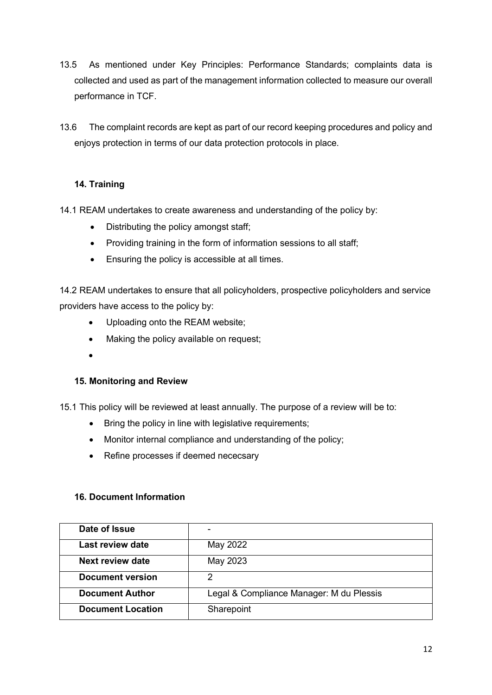- 13.5 As mentioned under Key Principles: Performance Standards; complaints data is collected and used as part of the management information collected to measure our overall performance in TCF.
- 13.6 The complaint records are kept as part of our record keeping procedures and policy and enjoys protection in terms of our data protection protocols in place.

## <span id="page-11-0"></span>**14. Training**

14.1 REAM undertakes to create awareness and understanding of the policy by:

- Distributing the policy amongst staff;
- Providing training in the form of information sessions to all staff;
- Ensuring the policy is accessible at all times.

14.2 REAM undertakes to ensure that all policyholders, prospective policyholders and service providers have access to the policy by:

- Uploading onto the REAM website;
- Making the policy available on request;
- •

## <span id="page-11-1"></span>**15. Monitoring and Review**

15.1 This policy will be reviewed at least annually. The purpose of a review will be to:

- Bring the policy in line with legislative requirements;
- Monitor internal compliance and understanding of the policy;
- Refine processes if deemed nececsary

## <span id="page-11-2"></span>**16. Document Information**

| Date of Issue            |                                          |
|--------------------------|------------------------------------------|
| <b>Last review date</b>  | May 2022                                 |
| Next review date         | May 2023                                 |
| <b>Document version</b>  | 2                                        |
| <b>Document Author</b>   | Legal & Compliance Manager: M du Plessis |
| <b>Document Location</b> | Sharepoint                               |